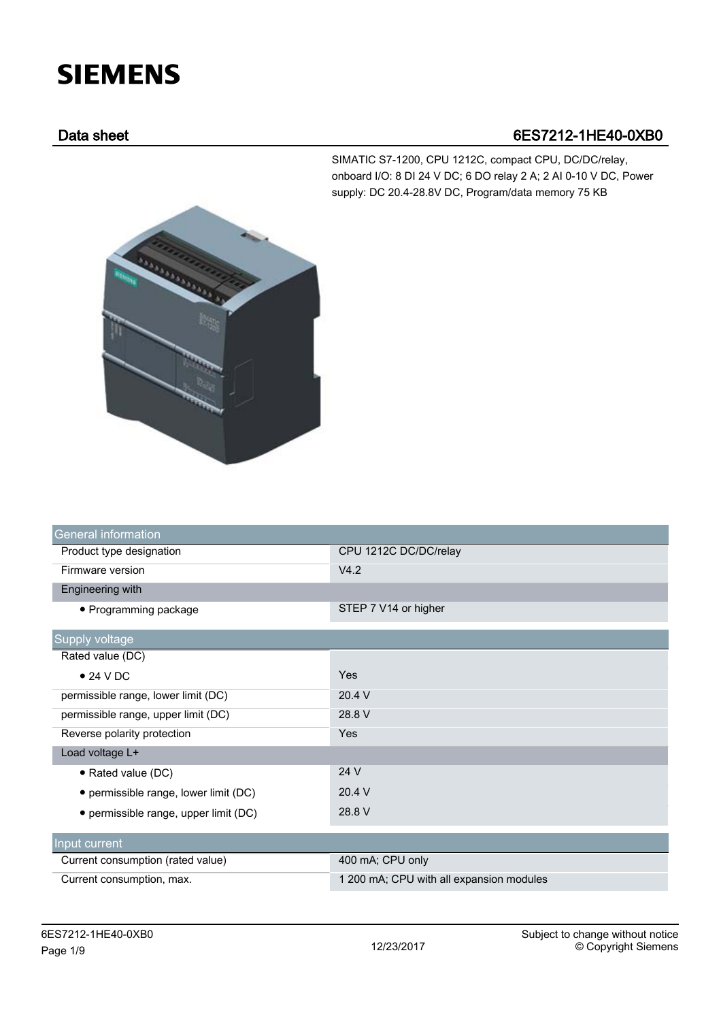# **SIEMENS**

## Data sheet 6ES7212-1HE40-0XB0

SIMATIC S7-1200, CPU 1212C, compact CPU, DC/DC/relay, onboard I/O: 8 DI 24 V DC; 6 DO relay 2 A; 2 AI 0-10 V DC, Power supply: DC 20.4-28.8V DC, Program/data memory 75 KB



| <b>General information</b>            |                                          |
|---------------------------------------|------------------------------------------|
| Product type designation              | CPU 1212C DC/DC/relay                    |
| Firmware version                      | V4.2                                     |
| Engineering with                      |                                          |
| • Programming package                 | STEP 7 V14 or higher                     |
| Supply voltage                        |                                          |
| Rated value (DC)                      |                                          |
| $\bullet$ 24 V DC                     | Yes                                      |
| permissible range, lower limit (DC)   | 20.4 V                                   |
| permissible range, upper limit (DC)   | 28.8 V                                   |
| Reverse polarity protection           | Yes                                      |
| Load voltage L+                       |                                          |
| • Rated value (DC)                    | 24 V                                     |
| • permissible range, lower limit (DC) | 20.4 V                                   |
| • permissible range, upper limit (DC) | 28.8 V                                   |
| Input current                         |                                          |
| Current consumption (rated value)     | 400 mA; CPU only                         |
| Current consumption, max.             | 1 200 mA; CPU with all expansion modules |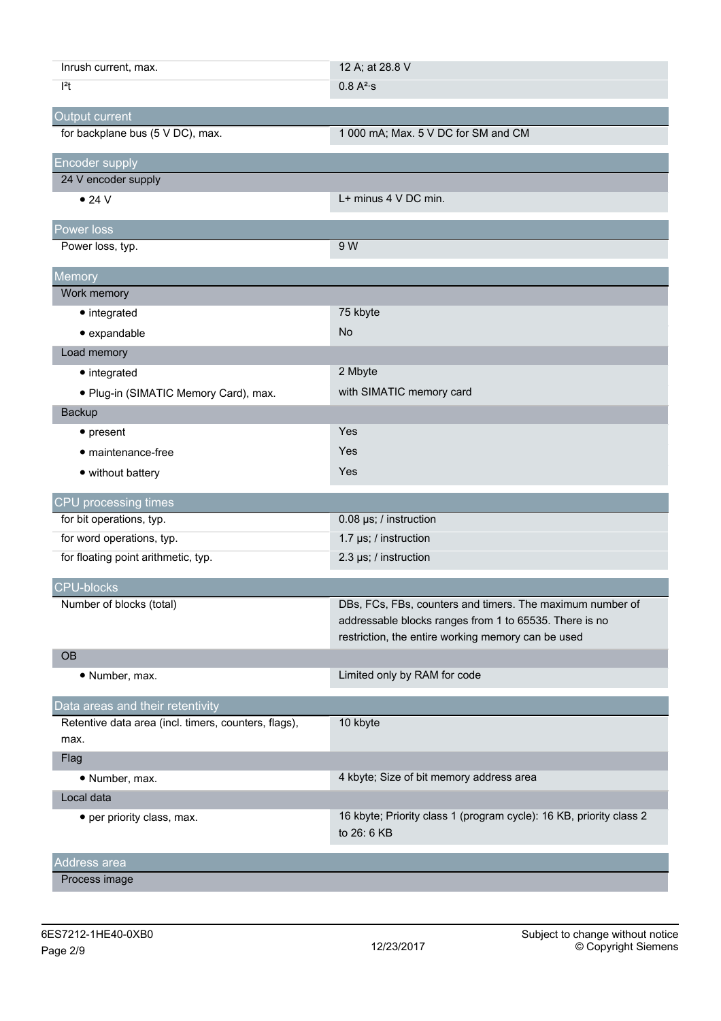| Inrush current, max.                                         | 12 A; at 28.8 V                                                                                                                                                           |
|--------------------------------------------------------------|---------------------------------------------------------------------------------------------------------------------------------------------------------------------------|
| $ ^{2}t$                                                     | 0.8 A <sup>2</sup> ·s                                                                                                                                                     |
| Output current                                               |                                                                                                                                                                           |
| for backplane bus (5 V DC), max.                             | 1 000 mA; Max. 5 V DC for SM and CM                                                                                                                                       |
| <b>Encoder supply</b>                                        |                                                                                                                                                                           |
| 24 V encoder supply                                          |                                                                                                                                                                           |
| $\bullet$ 24 V                                               | L+ minus 4 V DC min.                                                                                                                                                      |
| Power loss                                                   |                                                                                                                                                                           |
| Power loss, typ.                                             | 9 W                                                                                                                                                                       |
| Memory                                                       |                                                                                                                                                                           |
| Work memory                                                  |                                                                                                                                                                           |
| • integrated                                                 | 75 kbyte                                                                                                                                                                  |
| · expandable                                                 | <b>No</b>                                                                                                                                                                 |
| Load memory                                                  |                                                                                                                                                                           |
| • integrated                                                 | 2 Mbyte                                                                                                                                                                   |
| · Plug-in (SIMATIC Memory Card), max.                        | with SIMATIC memory card                                                                                                                                                  |
| Backup                                                       |                                                                                                                                                                           |
| $\bullet$ present                                            | Yes                                                                                                                                                                       |
| • maintenance-free                                           | Yes                                                                                                                                                                       |
| • without battery                                            | Yes                                                                                                                                                                       |
| CPU processing times                                         |                                                                                                                                                                           |
| for bit operations, typ.                                     | 0.08 µs; / instruction                                                                                                                                                    |
| for word operations, typ.                                    | 1.7 µs; / instruction                                                                                                                                                     |
| for floating point arithmetic, typ.                          | 2.3 µs; / instruction                                                                                                                                                     |
| <b>CPU-blocks</b>                                            |                                                                                                                                                                           |
| Number of blocks (total)                                     | DBs, FCs, FBs, counters and timers. The maximum number of<br>addressable blocks ranges from 1 to 65535. There is no<br>restriction, the entire working memory can be used |
| <b>OB</b>                                                    |                                                                                                                                                                           |
| • Number, max.                                               | Limited only by RAM for code                                                                                                                                              |
| Data areas and their retentivity                             |                                                                                                                                                                           |
| Retentive data area (incl. timers, counters, flags),<br>max. | 10 kbyte                                                                                                                                                                  |
| Flag                                                         |                                                                                                                                                                           |
| • Number, max.                                               | 4 kbyte; Size of bit memory address area                                                                                                                                  |
| Local data                                                   |                                                                                                                                                                           |
| • per priority class, max.                                   | 16 kbyte; Priority class 1 (program cycle): 16 KB, priority class 2<br>to 26: 6 KB                                                                                        |
| Address area                                                 |                                                                                                                                                                           |
| Process image                                                |                                                                                                                                                                           |
|                                                              |                                                                                                                                                                           |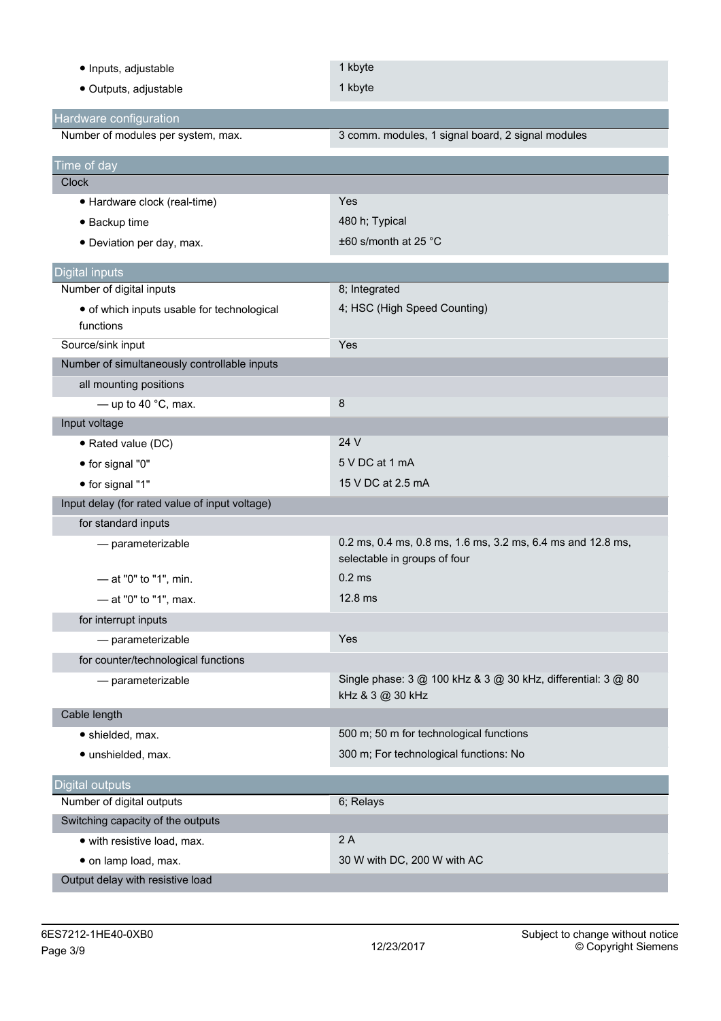| · Inputs, adjustable                                         | 1 kbyte                                                                                     |
|--------------------------------------------------------------|---------------------------------------------------------------------------------------------|
| · Outputs, adjustable                                        | 1 kbyte                                                                                     |
|                                                              |                                                                                             |
| Hardware configuration<br>Number of modules per system, max. | 3 comm. modules, 1 signal board, 2 signal modules                                           |
|                                                              |                                                                                             |
| Time of day                                                  |                                                                                             |
| <b>Clock</b>                                                 |                                                                                             |
| • Hardware clock (real-time)                                 | Yes                                                                                         |
| • Backup time                                                | 480 h; Typical                                                                              |
| • Deviation per day, max.                                    | ±60 s/month at 25 °C                                                                        |
| <b>Digital inputs</b>                                        |                                                                                             |
| Number of digital inputs                                     | 8; Integrated                                                                               |
| • of which inputs usable for technological<br>functions      | 4; HSC (High Speed Counting)                                                                |
| Source/sink input                                            | Yes                                                                                         |
| Number of simultaneously controllable inputs                 |                                                                                             |
| all mounting positions                                       |                                                                                             |
| - up to 40 $^{\circ}$ C, max.                                | 8                                                                                           |
| Input voltage                                                |                                                                                             |
| • Rated value (DC)                                           | 24 V                                                                                        |
| • for signal "0"                                             | 5 V DC at 1 mA                                                                              |
| • for signal "1"                                             | 15 V DC at 2.5 mA                                                                           |
| Input delay (for rated value of input voltage)               |                                                                                             |
| for standard inputs                                          |                                                                                             |
| - parameterizable                                            | 0.2 ms, 0.4 ms, 0.8 ms, 1.6 ms, 3.2 ms, 6.4 ms and 12.8 ms,<br>selectable in groups of four |
| - at "0" to "1", min.                                        | 0.2 <sub>ms</sub>                                                                           |
| - at "0" to "1", max.                                        | 12.8 ms                                                                                     |
| for interrupt inputs                                         |                                                                                             |
| - parameterizable                                            | Yes                                                                                         |
| for counter/technological functions                          |                                                                                             |
| - parameterizable                                            | Single phase: 3 @ 100 kHz & 3 @ 30 kHz, differential: 3 @ 80<br>kHz & 3 @ 30 kHz            |
| Cable length                                                 |                                                                                             |
| · shielded, max.                                             | 500 m; 50 m for technological functions                                                     |
| · unshielded, max.                                           | 300 m; For technological functions: No                                                      |
| Digital outputs                                              |                                                                                             |
| Number of digital outputs                                    | 6; Relays                                                                                   |
| Switching capacity of the outputs                            |                                                                                             |
| • with resistive load, max.                                  | 2A                                                                                          |
| · on lamp load, max.                                         | 30 W with DC, 200 W with AC                                                                 |
| Output delay with resistive load                             |                                                                                             |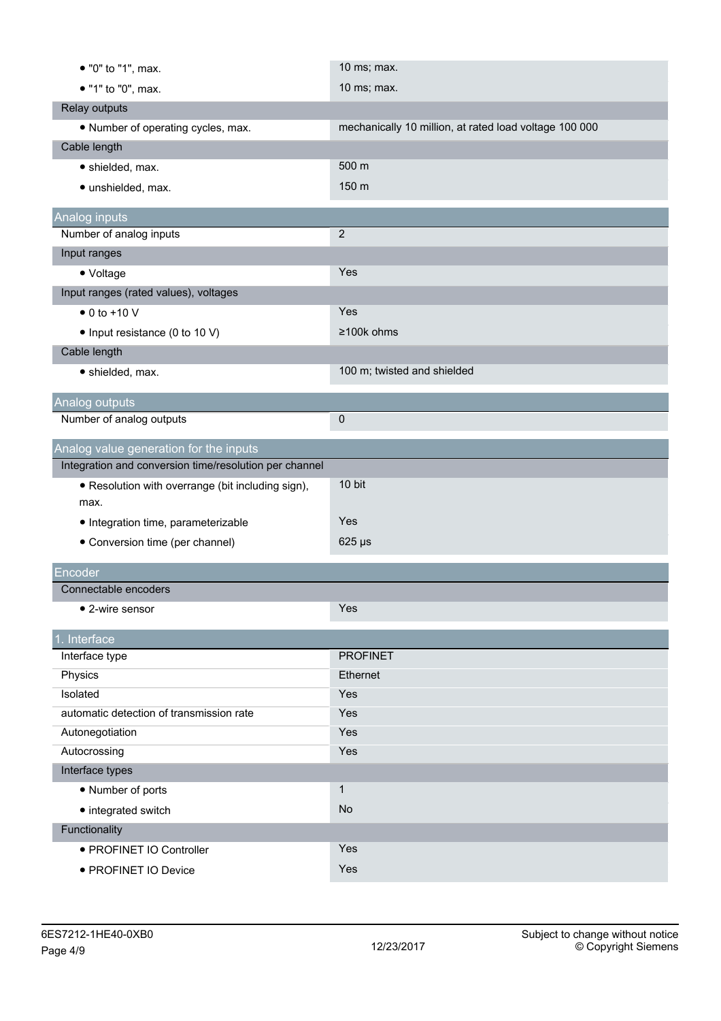| • "0" to "1", max.                                        | 10 ms; max.                                            |
|-----------------------------------------------------------|--------------------------------------------------------|
| • "1" to "0", max.                                        | 10 ms; max.                                            |
| Relay outputs                                             |                                                        |
| • Number of operating cycles, max.                        | mechanically 10 million, at rated load voltage 100 000 |
| Cable length                                              |                                                        |
| · shielded, max.                                          | 500 m                                                  |
| · unshielded, max.                                        | 150 m                                                  |
| Analog inputs                                             |                                                        |
| Number of analog inputs                                   | $\overline{2}$                                         |
| Input ranges                                              |                                                        |
| • Voltage                                                 | Yes                                                    |
| Input ranges (rated values), voltages                     |                                                        |
| $\bullet$ 0 to +10 V                                      | Yes                                                    |
| • Input resistance (0 to 10 V)                            | ≥100k ohms                                             |
| Cable length                                              |                                                        |
| · shielded, max.                                          | 100 m; twisted and shielded                            |
|                                                           |                                                        |
| Analog outputs<br>Number of analog outputs                | $\pmb{0}$                                              |
|                                                           |                                                        |
| Analog value generation for the inputs                    |                                                        |
| Integration and conversion time/resolution per channel    |                                                        |
| • Resolution with overrange (bit including sign),<br>max. | 10 bit                                                 |
| • Integration time, parameterizable                       | Yes                                                    |
| • Conversion time (per channel)                           | $625 \,\mu s$                                          |
| Encoder                                                   |                                                        |
| Connectable encoders                                      |                                                        |
| • 2-wire sensor                                           | Yes                                                    |
| 1. Interface                                              |                                                        |
| Interface type                                            | <b>PROFINET</b>                                        |
| Physics                                                   | Ethernet                                               |
| Isolated                                                  | Yes                                                    |
| automatic detection of transmission rate                  | Yes                                                    |
| Autonegotiation                                           | Yes                                                    |
| Autocrossing                                              | Yes                                                    |
| Interface types                                           |                                                        |
| • Number of ports                                         | $\mathbf{1}$                                           |
| • integrated switch                                       | No                                                     |
| Functionality                                             |                                                        |
|                                                           |                                                        |
| • PROFINET IO Controller                                  | Yes<br>Yes                                             |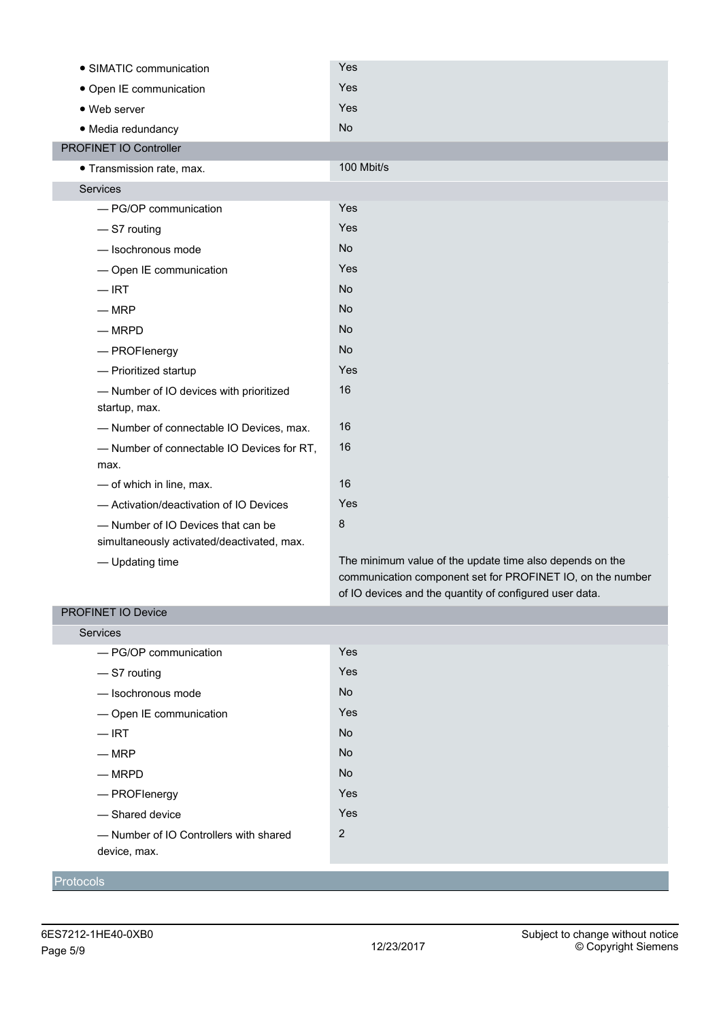| • SIMATIC communication                    | Yes                                                        |
|--------------------------------------------|------------------------------------------------------------|
| • Open IE communication                    | Yes                                                        |
| • Web server                               | Yes                                                        |
| · Media redundancy                         | <b>No</b>                                                  |
| PROFINET IO Controller                     |                                                            |
| · Transmission rate, max.                  | 100 Mbit/s                                                 |
| Services                                   |                                                            |
| - PG/OP communication                      | Yes                                                        |
| -S7 routing                                | Yes                                                        |
| - Isochronous mode                         | <b>No</b>                                                  |
| - Open IE communication                    | Yes                                                        |
| $-$ IRT                                    | <b>No</b>                                                  |
| $-MRP$                                     | <b>No</b>                                                  |
| $-MRPD$                                    | <b>No</b>                                                  |
| - PROFlenergy                              | <b>No</b>                                                  |
| - Prioritized startup                      | Yes                                                        |
| - Number of IO devices with prioritized    | 16                                                         |
| startup, max.                              |                                                            |
| - Number of connectable IO Devices, max.   | 16                                                         |
| - Number of connectable IO Devices for RT, | 16                                                         |
| max.                                       |                                                            |
| - of which in line, max.                   | 16                                                         |
| - Activation/deactivation of IO Devices    | Yes                                                        |
| - Number of IO Devices that can be         | 8                                                          |
| simultaneously activated/deactivated, max. |                                                            |
| - Updating time                            | The minimum value of the update time also depends on the   |
|                                            | communication component set for PROFINET IO, on the number |

### PROFINET IO Device

| <b>Services</b>                        |            |
|----------------------------------------|------------|
| - PG/OP communication                  | Yes        |
| -S7 routing                            | Yes        |
| - Isochronous mode                     | <b>No</b>  |
| - Open IE communication                | Yes        |
| $-$ IRT                                | <b>No</b>  |
| $-MRP$                                 | <b>No</b>  |
| $-MRPD$                                | <b>No</b>  |
| - PROFlenergy                          | Yes        |
| - Shared device                        | <b>Yes</b> |
| - Number of IO Controllers with shared | 2          |
| device, max.                           |            |

of IO devices and the quantity of configured user data.

### Protocols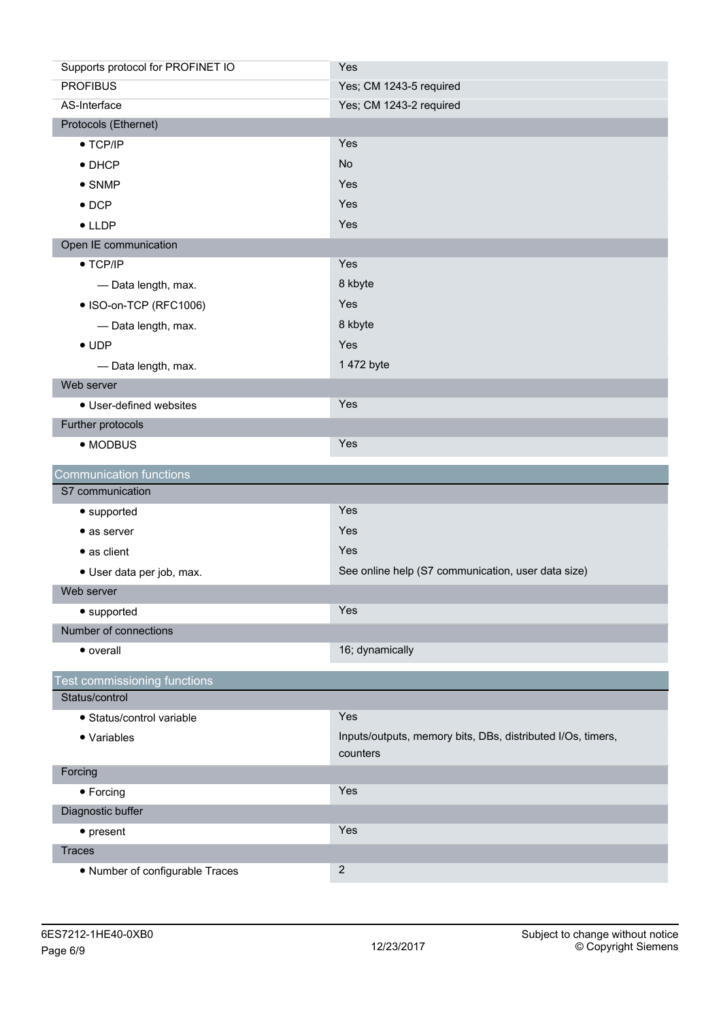| Supports protocol for PROFINET IO   | Yes                                                                     |
|-------------------------------------|-------------------------------------------------------------------------|
| <b>PROFIBUS</b>                     | Yes; CM 1243-5 required                                                 |
| AS-Interface                        | Yes; CM 1243-2 required                                                 |
| Protocols (Ethernet)                |                                                                         |
| $\bullet$ TCP/IP                    | Yes                                                                     |
| $\bullet$ DHCP                      | <b>No</b>                                                               |
| $\bullet$ SNMP                      | Yes                                                                     |
| $\bullet$ DCP                       | Yes                                                                     |
| $\bullet$ LLDP                      | Yes                                                                     |
| Open IE communication               |                                                                         |
| $\bullet$ TCP/IP                    | Yes                                                                     |
| - Data length, max.                 | 8 kbyte                                                                 |
| • ISO-on-TCP (RFC1006)              | Yes                                                                     |
| - Data length, max.                 | 8 kbyte                                                                 |
| $\bullet$ UDP                       | Yes                                                                     |
| - Data length, max.                 | 1 472 byte                                                              |
| Web server                          |                                                                         |
| • User-defined websites             | Yes                                                                     |
| Further protocols                   |                                                                         |
| • MODBUS                            | Yes                                                                     |
| <b>Communication functions</b>      |                                                                         |
| S7 communication                    |                                                                         |
| • supported                         | Yes                                                                     |
| • as server                         | Yes                                                                     |
| • as client                         | Yes                                                                     |
| · User data per job, max.           | See online help (S7 communication, user data size)                      |
| Web server                          |                                                                         |
| • supported                         | Yes                                                                     |
| Number of connections               |                                                                         |
| • overall                           | 16; dynamically                                                         |
|                                     |                                                                         |
|                                     |                                                                         |
| <b>Test commissioning functions</b> |                                                                         |
| Status/control                      |                                                                         |
| · Status/control variable           | Yes                                                                     |
| • Variables                         | Inputs/outputs, memory bits, DBs, distributed I/Os, timers,<br>counters |
| Forcing                             |                                                                         |
| • Forcing                           | Yes                                                                     |
| Diagnostic buffer                   |                                                                         |
| $\bullet$ present                   | Yes                                                                     |
| <b>Traces</b>                       |                                                                         |
| • Number of configurable Traces     | $\sqrt{2}$                                                              |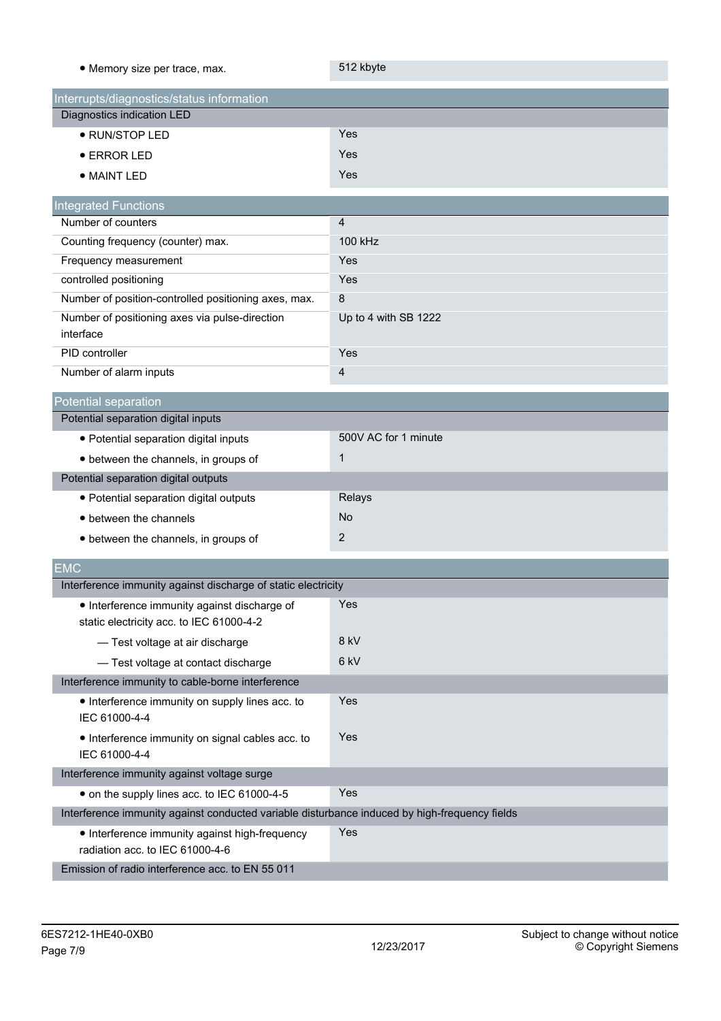| • Memory size per trace, max.                                                                 | 512 kbyte            |
|-----------------------------------------------------------------------------------------------|----------------------|
| Interrupts/diagnostics/status information                                                     |                      |
| Diagnostics indication LED                                                                    |                      |
| • RUN/STOP LED                                                                                | Yes                  |
| $\bullet$ ERROR LED                                                                           | Yes                  |
| • MAINT LED                                                                                   | Yes                  |
|                                                                                               |                      |
| <b>Integrated Functions</b><br>Number of counters                                             | $\overline{4}$       |
|                                                                                               | 100 kHz              |
| Counting frequency (counter) max.                                                             | Yes                  |
| Frequency measurement                                                                         | Yes                  |
| controlled positioning                                                                        | $\bf 8$              |
| Number of position-controlled positioning axes, max.                                          |                      |
| Number of positioning axes via pulse-direction<br>interface                                   | Up to 4 with SB 1222 |
| PID controller                                                                                | Yes                  |
| Number of alarm inputs                                                                        | $\overline{4}$       |
| Potential separation                                                                          |                      |
| Potential separation digital inputs                                                           |                      |
| · Potential separation digital inputs                                                         | 500V AC for 1 minute |
| • between the channels, in groups of                                                          | $\mathbf{1}$         |
| Potential separation digital outputs                                                          |                      |
| • Potential separation digital outputs                                                        | Relays               |
| • between the channels                                                                        | <b>No</b>            |
| • between the channels, in groups of                                                          | $\overline{2}$       |
| <b>EMC</b>                                                                                    |                      |
| Interference immunity against discharge of static electricity                                 |                      |
| • Interference immunity against discharge of                                                  | Yes                  |
| static electricity acc. to IEC 61000-4-2                                                      |                      |
| - Test voltage at air discharge                                                               | 8 kV                 |
| - Test voltage at contact discharge                                                           | 6 kV                 |
| Interference immunity to cable-borne interference                                             |                      |
| • Interference immunity on supply lines acc. to                                               | Yes                  |
| IEC 61000-4-4                                                                                 |                      |
| • Interference immunity on signal cables acc. to<br>IEC 61000-4-4                             | Yes                  |
| Interference immunity against voltage surge                                                   |                      |
| • on the supply lines acc. to IEC 61000-4-5                                                   | Yes                  |
| Interference immunity against conducted variable disturbance induced by high-frequency fields |                      |
| • Interference immunity against high-frequency<br>radiation acc. to IEC 61000-4-6             | Yes                  |
| Emission of radio interference acc. to EN 55 011                                              |                      |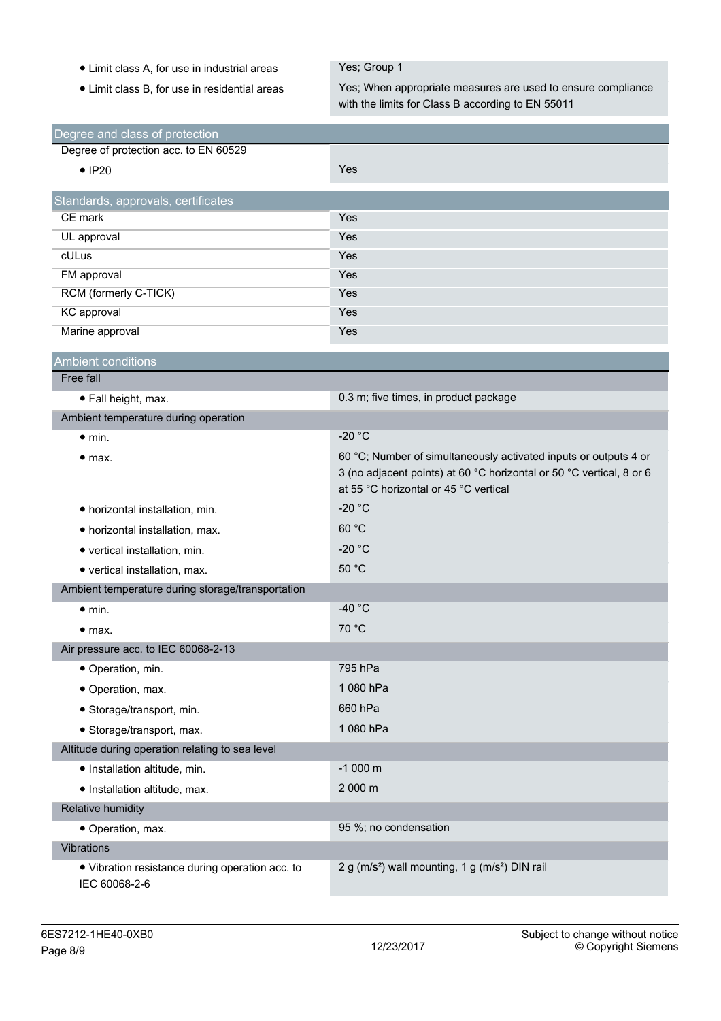- Limit class A, for use in industrial areas Yes; Group 1
- 

• Limit class B, for use in residential areas Yes; When appropriate measures are used to ensure compliance with the limits for Class B according to EN 55011

| Degree and class of protection                                   |                                                                                                                                                                                   |
|------------------------------------------------------------------|-----------------------------------------------------------------------------------------------------------------------------------------------------------------------------------|
| Degree of protection acc. to EN 60529                            |                                                                                                                                                                                   |
| $\bullet$ IP20                                                   | Yes                                                                                                                                                                               |
| Standards, approvals, certificates                               |                                                                                                                                                                                   |
| CE mark                                                          | Yes                                                                                                                                                                               |
| UL approval                                                      | Yes                                                                                                                                                                               |
| cULus                                                            | Yes                                                                                                                                                                               |
| FM approval                                                      | Yes                                                                                                                                                                               |
| RCM (formerly C-TICK)                                            | Yes                                                                                                                                                                               |
| KC approval                                                      | Yes                                                                                                                                                                               |
| Marine approval                                                  | Yes                                                                                                                                                                               |
| <b>Ambient conditions</b>                                        |                                                                                                                                                                                   |
| Free fall                                                        |                                                                                                                                                                                   |
| • Fall height, max.                                              | 0.3 m; five times, in product package                                                                                                                                             |
| Ambient temperature during operation                             |                                                                                                                                                                                   |
| $\bullet$ min.                                                   | $-20 °C$                                                                                                                                                                          |
| • <sub>max.</sub>                                                | 60 °C; Number of simultaneously activated inputs or outputs 4 or<br>3 (no adjacent points) at 60 °C horizontal or 50 °C vertical, 8 or 6<br>at 55 °C horizontal or 45 °C vertical |
| • horizontal installation, min.                                  | $-20 °C$                                                                                                                                                                          |
| • horizontal installation, max.                                  | 60 °C                                                                                                                                                                             |
| • vertical installation, min.                                    | $-20 °C$                                                                                                                                                                          |
| • vertical installation, max.                                    | 50 °C                                                                                                                                                                             |
| Ambient temperature during storage/transportation                |                                                                                                                                                                                   |
| $\bullet$ min.                                                   | -40 $^{\circ}$ C                                                                                                                                                                  |
| • <sub>max.</sub>                                                | 70 °C                                                                                                                                                                             |
| Air pressure acc. to IEC 60068-2-13                              |                                                                                                                                                                                   |
| · Operation, min.                                                | 795 hPa                                                                                                                                                                           |
| · Operation, max.                                                | 1080 hPa                                                                                                                                                                          |
| • Storage/transport, min.                                        | 660 hPa                                                                                                                                                                           |
| · Storage/transport, max.                                        | 1 080 hPa                                                                                                                                                                         |
| Altitude during operation relating to sea level                  |                                                                                                                                                                                   |
| · Installation altitude, min.                                    | $-1000$ m                                                                                                                                                                         |
| · Installation altitude, max.                                    | 2 000 m                                                                                                                                                                           |
| Relative humidity                                                |                                                                                                                                                                                   |
| · Operation, max.                                                | 95 %; no condensation                                                                                                                                                             |
| <b>Vibrations</b>                                                |                                                                                                                                                                                   |
| · Vibration resistance during operation acc. to<br>IEC 60068-2-6 | 2 g (m/s <sup>2</sup> ) wall mounting, 1 g (m/s <sup>2</sup> ) DIN rail                                                                                                           |